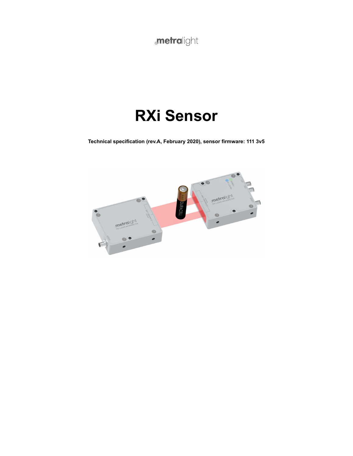**metralight** 

# **RXi Sensor**

**Technical specification (rev.A, February 2020), sensor firmware: 111 3v5**

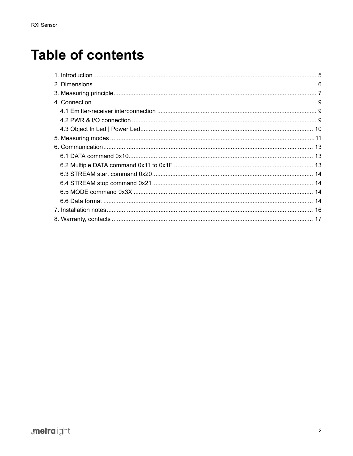## **Table of contents**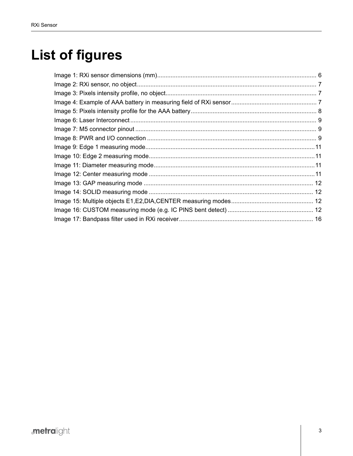# **List of figures**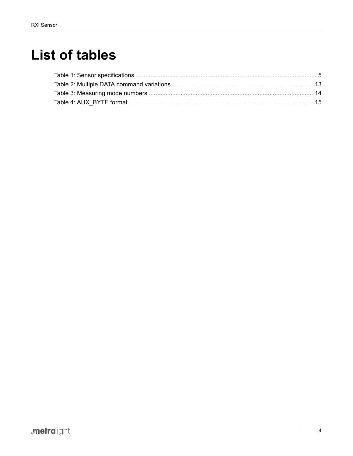## **List of tables**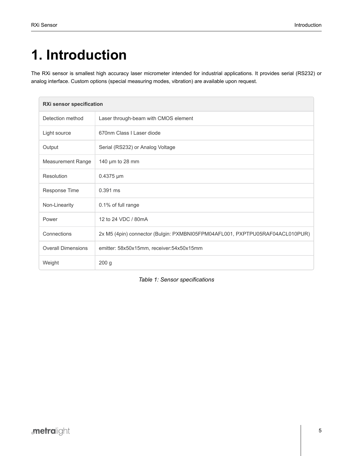# <span id="page-4-0"></span>**1. Introduction**

The RXi sensor is smallest high accuracy laser micrometer intended for industrial applications. It provides serial (RS232) or analog interface. Custom options (special measuring modes, vibration) are available upon request.

<span id="page-4-1"></span>

| RXi sensor specification  |                                                                              |  |
|---------------------------|------------------------------------------------------------------------------|--|
| Detection method          | Laser through-beam with CMOS element                                         |  |
| Light source              | 670nm Class I Laser diode                                                    |  |
| Output                    | Serial (RS232) or Analog Voltage                                             |  |
| Measurement Range         | 140 µm to 28 mm                                                              |  |
| Resolution                | $0.4375 \,\mathrm{\upmu m}$                                                  |  |
| Response Time             | $0.391$ ms                                                                   |  |
| Non-Linearity             | 0.1% of full range                                                           |  |
| Power                     | 12 to 24 VDC / 80mA                                                          |  |
| Connections               | 2x M5 (4pin) connector (Bulgin: PXMBNI05FPM04AFL001, PXPTPU05RAF04ACL010PUR) |  |
| <b>Overall Dimensions</b> | emitter: 58x50x15mm, receiver:54x50x15mm                                     |  |
| Weight                    | 200 <sub>g</sub>                                                             |  |

*Table 1: Sensor specifications*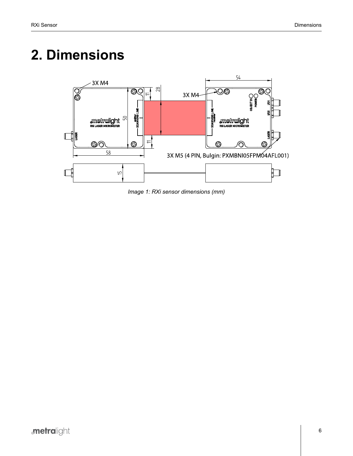## <span id="page-5-1"></span><span id="page-5-0"></span>**2. Dimensions**



*Image 1: RXi sensor dimensions (mm)*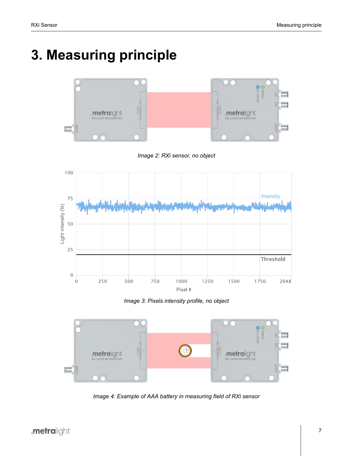# <span id="page-6-1"></span><span id="page-6-0"></span>**3. Measuring principle**



*Image 2: RXi sensor, no object*

<span id="page-6-2"></span>

*Image 3: Pixels intensity profile, no object*

<span id="page-6-3"></span>

*Image 4: Example of AAA battery in measuring field of RXi sensor*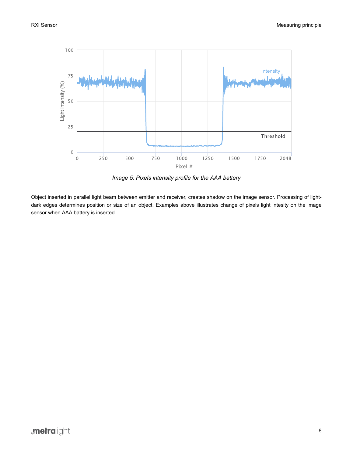<span id="page-7-0"></span>

*Image 5: Pixels intensity profile for the AAA battery*

Object inserted in parallel light beam between emitter and receiver, creates shadow on the image sensor. Processing of lightdark edges determines position or size of an object. Examples above illustrates change of pixels light intesity on the image sensor when AAA battery is inserted.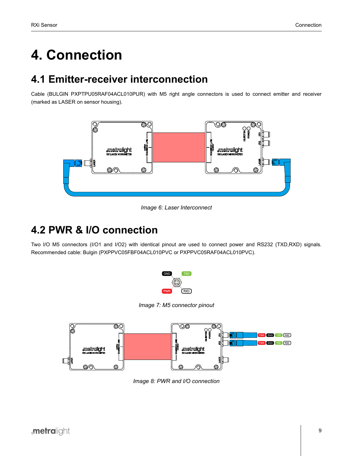# <span id="page-8-0"></span>**4. Connection**

#### <span id="page-8-1"></span>**4.1 Emitter-receiver interconnection**

<span id="page-8-3"></span>Cable (BULGIN PXPTPU05RAF04ACL010PUR) with M5 right angle connectors is used to connect emitter and receiver (marked as LASER on sensor housing).



*Image 6: Laser Interconnect*

### <span id="page-8-2"></span>**4.2 PWR & I/O connection**

<span id="page-8-4"></span>Two I/O M5 connectors (I/O1 and I/O2) with identical pinout are used to connect power and RS232 (TXD,RXD) signals. Recommended cable: Bulgin (PXPPVC05FBF04ACL010PVC or PXPPVC05RAF04ACL010PVC).



*Image 7: M5 connector pinout*

<span id="page-8-5"></span>

*Image 8: PWR and I/O connection*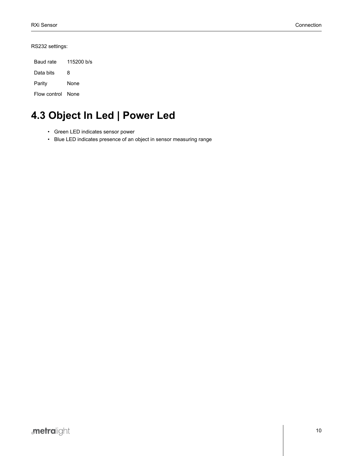RS232 settings:

| Baud rate         | 115200 b/s |  |
|-------------------|------------|--|
| Data bits         | 8          |  |
| Parity            | None       |  |
| Flow control None |            |  |

## <span id="page-9-0"></span>**4.3 Object In Led | Power Led**

- Green LED indicates sensor power
- Blue LED indicates presence of an object in sensor measuring range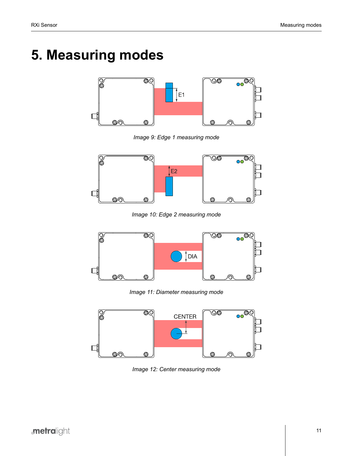## <span id="page-10-1"></span><span id="page-10-0"></span>**5. Measuring modes**



*Image 9: Edge 1 measuring mode*

<span id="page-10-2"></span>

*Image 10: Edge 2 measuring mode*

<span id="page-10-3"></span>

*Image 11: Diameter measuring mode*

<span id="page-10-4"></span>

*Image 12: Center measuring mode*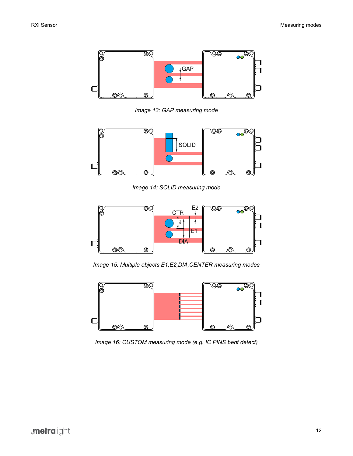<span id="page-11-0"></span>

*Image 13: GAP measuring mode*

<span id="page-11-1"></span>

*Image 14: SOLID measuring mode*

<span id="page-11-2"></span>

*Image 15: Multiple objects E1,E2,DIA,CENTER measuring modes*

<span id="page-11-3"></span>

*Image 16: CUSTOM measuring mode (e.g. IC PINS bent detect)*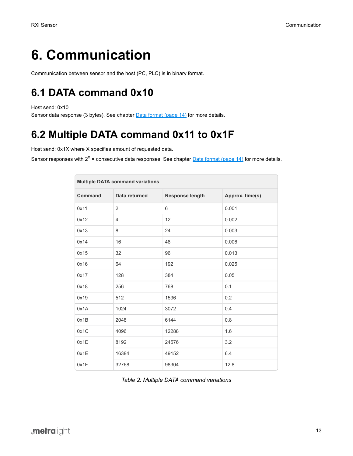## <span id="page-12-0"></span>**6. Communication**

Communication between sensor and the host (PC, PLC) is in binary format.

## <span id="page-12-1"></span>**6.1 DATA command 0x10**

Host send: 0x10

Sensor data response (3 bytes). See chapter [Data format](#page-13-3) (page 14) for more details.

### <span id="page-12-2"></span>**6.2 Multiple DATA command 0x11 to 0x1F**

Host send: 0x1X where X specifies amount of requested data.

<span id="page-12-3"></span>Sensor responses with 2<sup>x</sup> × consecutive data responses. See chapter <u>[Data format](#page-13-3) (page 14)</u> for more details.

| <b>Multiple DATA command variations</b> |                |                 |                 |
|-----------------------------------------|----------------|-----------------|-----------------|
| <b>Command</b><br>Data returned         |                | Response length | Approx. time(s) |
| 0x11                                    | $\overline{2}$ | 6               | 0.001           |
| 0x12                                    | 4              | 12              | 0.002           |
| 0x13                                    | 8              | 24              | 0.003           |
| 0x14                                    | 16             | 48              | 0.006           |
| 0x15                                    | 32             | 96              | 0.013           |
| 0x16                                    | 64             | 192             | 0.025           |
| 0x17                                    | 128            | 384             | 0.05            |
| 0x18                                    | 256            | 768             | 0.1             |
| 0x19                                    | 512            | 1536            | 0.2             |
| 0x1A                                    | 1024           | 3072            | 0.4             |
| 0x1B                                    | 2048           | 6144            | 0.8             |
| 0x1C                                    | 4096           | 12288           | 1.6             |
| 0x1D                                    | 8192           | 24576           | 3.2             |
| 0x1E                                    | 16384          | 49152           | 6.4             |
| 0x1F                                    | 32768          | 98304           | 12.8            |

*Table 2: Multiple DATA command variations*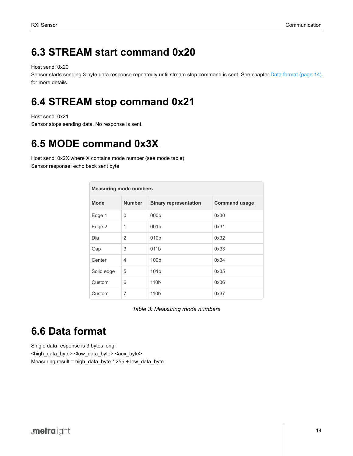#### <span id="page-13-0"></span>**6.3 STREAM start command 0x20**

Host send: 0x20

Sensor starts sending 3 byte data response repeatedly until stream stop command is sent. See chapter [Data format](#page-13-3) (page 14) for more details.

### <span id="page-13-1"></span>**6.4 STREAM stop command 0x21**

Host send: 0x21

Sensor stops sending data. No response is sent.

## <span id="page-13-2"></span>**6.5 MODE command 0x3X**

<span id="page-13-4"></span>Host send: 0x2X where X contains mode number (see mode table) Sensor response: echo back sent byte

| <b>Measuring mode numbers</b> |                |                              |                      |
|-------------------------------|----------------|------------------------------|----------------------|
| <b>Mode</b>                   | <b>Number</b>  | <b>Binary representation</b> | <b>Command usage</b> |
| Edge 1                        | $\mathbf{0}$   | 000 <sub>b</sub>             | 0x30                 |
| Edge 2                        | 1              | 001b                         | 0x31                 |
| Dia                           | $\overline{2}$ | 010b                         | 0x32                 |
| Gap                           | 3              | 011b                         | 0x33                 |
| Center                        | $\overline{4}$ | 100 <sub>b</sub>             | 0x34                 |
| Solid edge                    | 5              | 101 <sub>b</sub>             | 0x35                 |
| Custom                        | 6              | 110b                         | 0x36                 |
| Custom                        | 7              | 110b                         | 0x37                 |

*Table 3: Measuring mode numbers*

## <span id="page-13-3"></span>**6.6 Data format**

Single data response is 3 bytes long: <high\_data\_byte> <low\_data\_byte> <aux\_byte> Measuring result = high\_data\_byte \* 255 + low\_data\_byte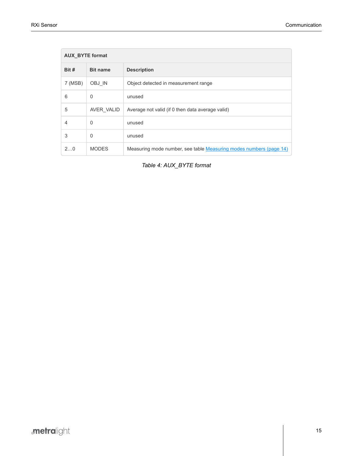<span id="page-14-0"></span>

| <b>AUX BYTE format</b> |                 |                                                                    |
|------------------------|-----------------|--------------------------------------------------------------------|
| Bit #                  | <b>Bit name</b> | <b>Description</b>                                                 |
| 7 (MSB)                | OBJ IN          | Object detected in measurement range                               |
| 6                      | $\Omega$        | unused                                                             |
| 5                      | AVER VALID      | Average not valid (if 0 then data average valid)                   |
| $\overline{4}$         | 0               | unused                                                             |
| 3                      | $\Omega$        | unused                                                             |
| 20                     | <b>MODES</b>    | Measuring mode number, see table Measuring modes numbers (page 14) |

*Table 4: AUX\_BYTE format*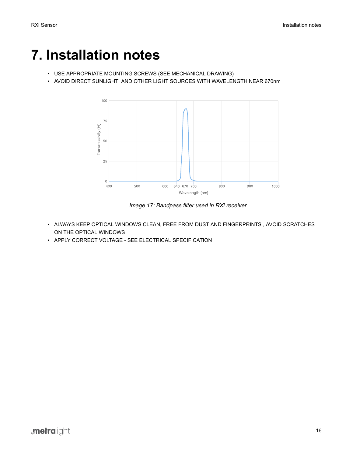## <span id="page-15-0"></span>**7. Installation notes**

- USE APPROPRIATE MOUNTING SCREWS (SEE MECHANICAL DRAWING)
- <span id="page-15-1"></span>• AVOID DIRECT SUNLIGHT! AND OTHER LIGHT SOURCES WITH WAVELENGTH NEAR 670nm



*Image 17: Bandpass filter used in RXi receiver*

- ALWAYS KEEP OPTICAL WINDOWS CLEAN, FREE FROM DUST AND FINGERPRINTS , AVOID SCRATCHES ON THE OPTICAL WINDOWS
- APPLY CORRECT VOLTAGE SEE ELECTRICAL SPECIFICATION